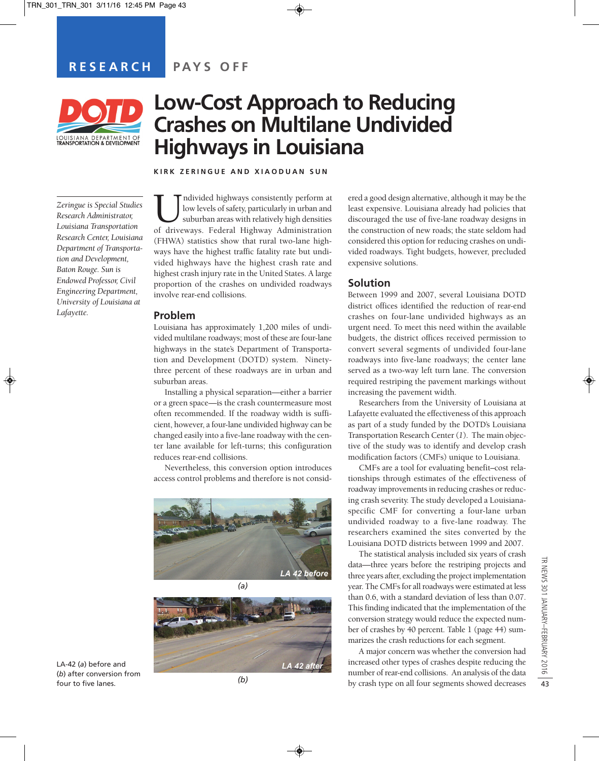

# **Low-Cost Approach to Reducing Crashes on Multilane Undivided Highways in Louisiana**

**KIRK ZERINGUE AND XIAODUAN SUN**

*Zeringue is Special Studies Research Administrator, Louisiana Transportation Research Center, Louisiana Department of Transportation and Development, Baton Rouge. Sun is Endowed Professor, Civil Engineering Department, University of Louisiana at Lafayette.*

Undivided highways consistently perform at low levels of safety, particularly in urban and suburban areas with relatively high densities of driveways. Federal Highway Administration low levels of safety, particularly in urban and suburban areas with relatively high densities (FHWA) statistics show that rural two-lane highways have the highest traffic fatality rate but undivided highways have the highest crash rate and highest crash injury rate in the United States. A large proportion of the crashes on undivided roadways involve rear-end collisions.

### **Problem**

Louisiana has approximately 1,200 miles of undivided multilane roadways; most of these are four-lane highways in the state's Department of Transportation and Development (DOTD) system. Ninetythree percent of these roadways are in urban and suburban areas.

Installing a physical separation—either a barrier or a green space—is the crash countermeasure most often recommended. If the roadway width is sufficient, however, a four-lane undivided highway can be changed easily into a five-lane roadway with the center lane available for left-turns; this configuration reduces rear-end collisions.

Nevertheless, this conversion option introduces access control problems and therefore is not consid-



*(a)*



LA-42 (*a*) before and (*b*) after conversion from four to five lanes.

*(b)*

ered a good design alternative, although it may be the least expensive. Louisiana already had policies that discouraged the use of five-lane roadway designs in the construction of new roads; the state seldom had considered this option for reducing crashes on undivided roadways. Tight budgets, however, precluded expensive solutions.

## **Solution**

Between 1999 and 2007, several Louisiana DOTD district offices identified the reduction of rear-end crashes on four-lane undivided highways as an urgent need. To meet this need within the available budgets, the district offices received permission to convert several segments of undivided four-lane roadways into five-lane roadways; the center lane served as a two-way left turn lane. The conversion required restriping the pavement markings without increasing the pavement width.

Researchers from the University of Louisiana at Lafayette evaluated the effectiveness of this approach as part of a study funded by the DOTD's Louisiana Transportation Research Center (*1*). The main objective of the study was to identify and develop crash modification factors (CMFs) unique to Louisiana.

CMFs are a tool for evaluating benefit–cost relationships through estimates of the effectiveness of roadway improvements in reducing crashes or reducing crash severity. The study developed a Louisianaspecific CMF for converting a four-lane urban undivided roadway to a five-lane roadway. The researchers examined the sites converted by the Louisiana DOTD districts between 1999 and 2007.

The statistical analysis included six years of crash data—three years before the restriping projects and three years after, excluding the project implementation year. The CMFs for all roadways were estimated at less than 0.6, with a standard deviation of less than 0.07. This finding indicated that the implementation of the conversion strategy would reduce the expected number of crashes by 40 percent. Table 1 (page 44) summarizes the crash reductions for each segment.

A major concern was whether the conversion had increased other types of crashes despite reducing the number of rear-end collisions. An analysis of the data by crash type on all four segments showed decreases